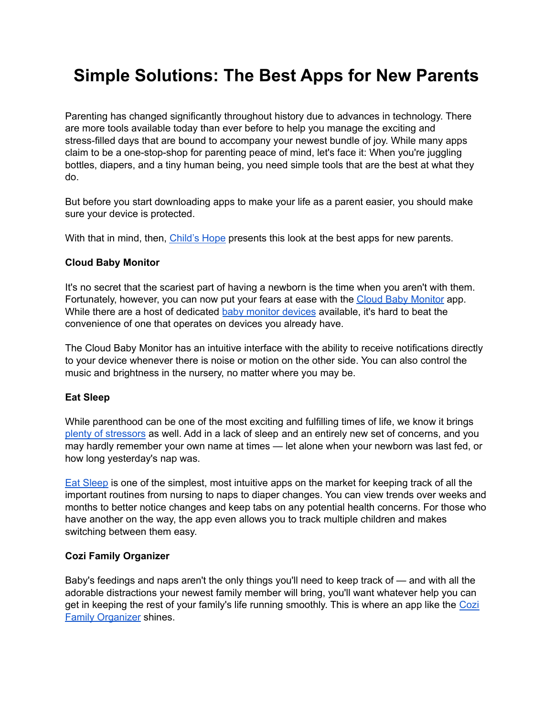# **Simple Solutions: The Best Apps for New Parents**

Parenting has changed significantly throughout history due to advances in technology. There are more tools available today than ever before to help you manage the exciting and stress-filled days that are bound to accompany your newest bundle of joy. While many apps claim to be a one-stop-shop for parenting peace of mind, let's face it: When you're juggling bottles, diapers, and a tiny human being, you need simple tools that are the best at what they do.

But before you start downloading apps to make your life as a parent easier, you should make sure your device is protected.

With that in mind, then, [Child's](https://www.childshope.org/) Hope presents this look at the best apps for new parents.

#### **Cloud Baby Monitor**

It's no secret that the scariest part of having a newborn is the time when you aren't with them. Fortunately, however, you can now put your fears at ease with the Cloud Baby [Monitor](https://cloudbabymonitor.com/) app. While there are a host of dedicated baby monitor [devices](https://www.consumerreports.org/cro/baby-monitors.htm) available, it's hard to beat the convenience of one that operates on devices you already have.

The Cloud Baby Monitor has an intuitive interface with the ability to receive notifications directly to your device whenever there is noise or motion on the other side. You can also control the music and brightness in the nursery, no matter where you may be.

#### **Eat Sleep**

While parenthood can be one of the most exciting and fulfilling times of life, we know it brings plenty of [stressors](https://www.ncbi.nlm.nih.gov/pubmed/26266033) as well. Add in a lack of sleep and an entirely new set of concerns, and you may hardly remember your own name at times — let alone when your newborn was last fed, or how long yesterday's nap was.

Eat [Sleep](https://eatsleepapp.com/) is one of the simplest, most intuitive apps on the market for keeping track of all the important routines from nursing to naps to diaper changes. You can view trends over weeks and months to better notice changes and keep tabs on any potential health concerns. For those who have another on the way, the app even allows you to track multiple children and makes switching between them easy.

#### **Cozi Family Organizer**

Baby's feedings and naps aren't the only things you'll need to keep track of — and with all the adorable distractions your newest family member will bring, you'll want whatever help you can get in keeping the rest of your family's life running smoothly. This is where an app like the [Cozi](https://www.cozi.com/) Family [Organizer](https://www.cozi.com/) shines.